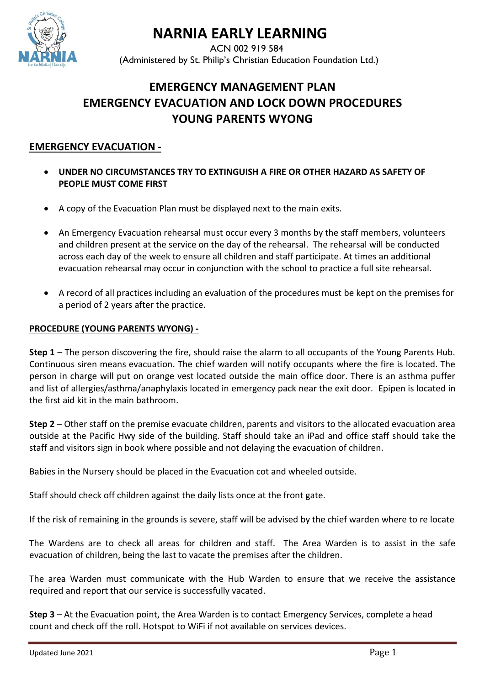

# **NARNIA EARLY LEARNING**

ACN 002 919 584 (Administered by St. Philip's Christian Education Foundation Ltd.)

# **EMERGENCY MANAGEMENT PLAN EMERGENCY EVACUATION AND LOCK DOWN PROCEDURES YOUNG PARENTS WYONG**

# **EMERGENCY EVACUATION -**

- **UNDER NO CIRCUMSTANCES TRY TO EXTINGUISH A FIRE OR OTHER HAZARD AS SAFETY OF PEOPLE MUST COME FIRST**
- A copy of the Evacuation Plan must be displayed next to the main exits.
- An Emergency Evacuation rehearsal must occur every 3 months by the staff members, volunteers and children present at the service on the day of the rehearsal. The rehearsal will be conducted across each day of the week to ensure all children and staff participate. At times an additional evacuation rehearsal may occur in conjunction with the school to practice a full site rehearsal.
- A record of all practices including an evaluation of the procedures must be kept on the premises for a period of 2 years after the practice.

# **PROCEDURE (YOUNG PARENTS WYONG) -**

**Step 1** – The person discovering the fire, should raise the alarm to all occupants of the Young Parents Hub. Continuous siren means evacuation. The chief warden will notify occupants where the fire is located. The person in charge will put on orange vest located outside the main office door. There is an asthma puffer and list of allergies/asthma/anaphylaxis located in emergency pack near the exit door. Epipen is located in the first aid kit in the main bathroom.

**Step 2** – Other staff on the premise evacuate children, parents and visitors to the allocated evacuation area outside at the Pacific Hwy side of the building. Staff should take an iPad and office staff should take the staff and visitors sign in book where possible and not delaying the evacuation of children.

Babies in the Nursery should be placed in the Evacuation cot and wheeled outside.

Staff should check off children against the daily lists once at the front gate.

If the risk of remaining in the grounds is severe, staff will be advised by the chief warden where to re locate

The Wardens are to check all areas for children and staff. The Area Warden is to assist in the safe evacuation of children, being the last to vacate the premises after the children.

The area Warden must communicate with the Hub Warden to ensure that we receive the assistance required and report that our service is successfully vacated.

**Step 3** – At the Evacuation point, the Area Warden is to contact Emergency Services, complete a head count and check off the roll. Hotspot to WiFi if not available on services devices.